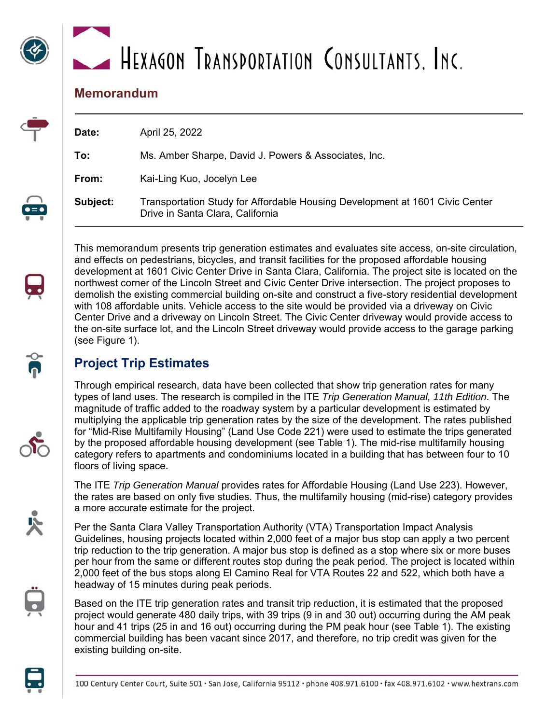# HEXAGON TRANSPORTATION CONSULTANTS, INC.

## **Memorandum**

| Date:    | April 25, 2022                                                                                                   |
|----------|------------------------------------------------------------------------------------------------------------------|
| To:      | Ms. Amber Sharpe, David J. Powers & Associates, Inc.                                                             |
| From:    | Kai-Ling Kuo, Jocelyn Lee                                                                                        |
| Subject: | Transportation Study for Affordable Housing Development at 1601 Civic Center<br>Drive in Santa Clara, California |

This memorandum presents trip generation estimates and evaluates site access, on-site circulation, and effects on pedestrians, bicycles, and transit facilities for the proposed affordable housing development at 1601 Civic Center Drive in Santa Clara, California. The project site is located on the northwest corner of the Lincoln Street and Civic Center Drive intersection. The project proposes to demolish the existing commercial building on-site and construct a five-story residential development with 108 affordable units. Vehicle access to the site would be provided via a driveway on Civic Center Drive and a driveway on Lincoln Street. The Civic Center driveway would provide access to the on-site surface lot, and the Lincoln Street driveway would provide access to the garage parking (see Figure 1).

# **Project Trip Estimates**

Through empirical research, data have been collected that show trip generation rates for many types of land uses. The research is compiled in the ITE *Trip Generation Manual, 11th Edition*. The magnitude of traffic added to the roadway system by a particular development is estimated by multiplying the applicable trip generation rates by the size of the development. The rates published for "Mid-Rise Multifamily Housing" (Land Use Code 221) were used to estimate the trips generated by the proposed affordable housing development (see Table 1). The mid-rise multifamily housing category refers to apartments and condominiums located in a building that has between four to 10 floors of living space.

The ITE *Trip Generation Manual* provides rates for Affordable Housing (Land Use 223). However, the rates are based on only five studies. Thus, the multifamily housing (mid-rise) category provides a more accurate estimate for the project.

Per the Santa Clara Valley Transportation Authority (VTA) Transportation Impact Analysis Guidelines, housing projects located within 2,000 feet of a major bus stop can apply a two percent trip reduction to the trip generation. A major bus stop is defined as a stop where six or more buses per hour from the same or different routes stop during the peak period. The project is located within 2,000 feet of the bus stops along El Camino Real for VTA Routes 22 and 522, which both have a headway of 15 minutes during peak periods.

Based on the ITE trip generation rates and transit trip reduction, it is estimated that the proposed project would generate 480 daily trips, with 39 trips (9 in and 30 out) occurring during the AM peak hour and 41 trips (25 in and 16 out) occurring during the PM peak hour (see Table 1). The existing commercial building has been vacant since 2017, and therefore, no trip credit was given for the existing building on-site.





 $\overline{\phantom{0}}$ 







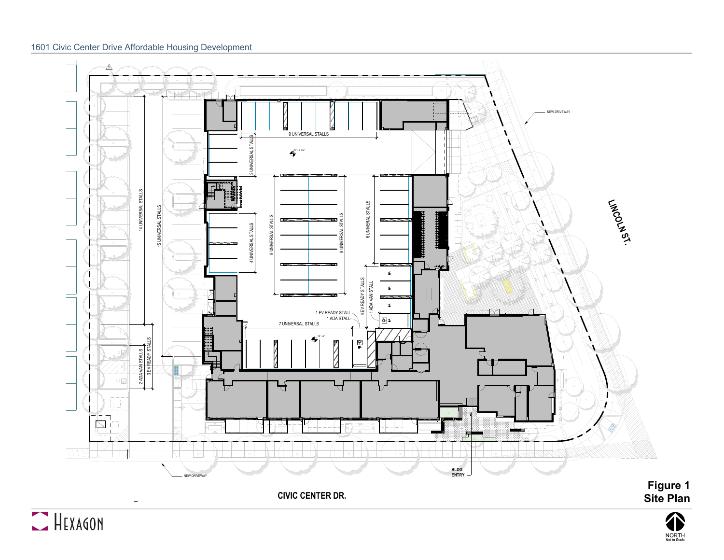#### 1601 Civic Center Drive Affordable Housing Development



**CIVIC CENTER DR.**



 $\overline{\phantom{a}}$ 



**Site Plan**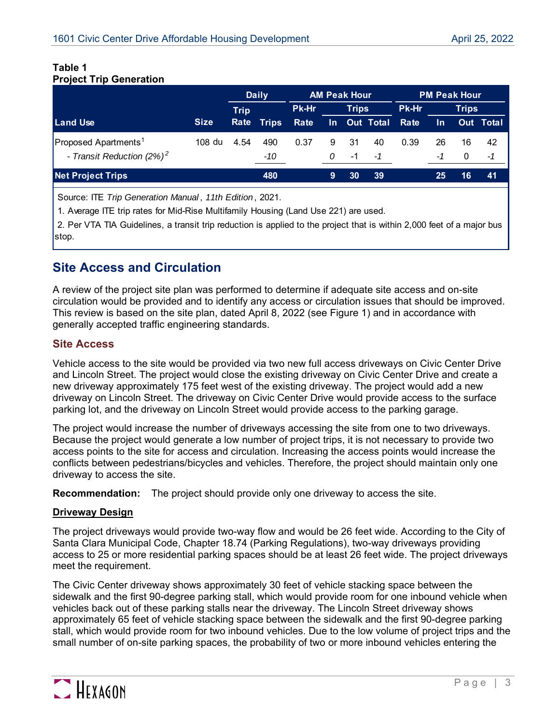#### **Table 1 Project Trip Generation**

|                                                                  |             | <b>Daily</b> |              | <b>AM Peak Hour</b> |              |           |                  | <b>PM Peak Hour</b> |              |                |                  |
|------------------------------------------------------------------|-------------|--------------|--------------|---------------------|--------------|-----------|------------------|---------------------|--------------|----------------|------------------|
|                                                                  |             | <b>Trip</b>  |              | <b>Pk-Hr</b>        | <b>Trips</b> |           |                  | Pk-Hr               | <b>Trips</b> |                |                  |
| <b>Land Use</b>                                                  | <b>Size</b> | Rate         | <b>Trips</b> | Rate                | In.          |           | <b>Out Total</b> | Rate                | <u>In</u>    |                | <b>Out Total</b> |
| Proposed Apartments <sup>1</sup><br>- Transit Reduction $(2%)^2$ | 108 du      | 4.54         | 490<br>-10   | 0.37                | 9<br>0       | -31<br>-1 | 40<br>-1         | 0.39                | 26<br>-1     | 16<br>$\Omega$ | 42<br>-1         |
| <b>Net Project Trips</b>                                         |             |              | 480          |                     | 9            | 30        | 39               |                     | 25           | 16             | 41               |

Source: ITE *Trip Generation Manual* , *11th Edition* , 2021.

1. Average ITE trip rates for Mid-Rise Multifamily Housing (Land Use 221) are used.

 2. Per VTA TIA Guidelines, a transit trip reduction is applied to the project that is within 2,000 feet of a major bus stop.

# **Site Access and Circulation**

A review of the project site plan was performed to determine if adequate site access and on-site circulation would be provided and to identify any access or circulation issues that should be improved. This review is based on the site plan, dated April 8, 2022 (see Figure 1) and in accordance with generally accepted traffic engineering standards.

### **Site Access**

Vehicle access to the site would be provided via two new full access driveways on Civic Center Drive and Lincoln Street. The project would close the existing driveway on Civic Center Drive and create a new driveway approximately 175 feet west of the existing driveway. The project would add a new driveway on Lincoln Street. The driveway on Civic Center Drive would provide access to the surface parking lot, and the driveway on Lincoln Street would provide access to the parking garage.

The project would increase the number of driveways accessing the site from one to two driveways. Because the project would generate a low number of project trips, it is not necessary to provide two access points to the site for access and circulation. Increasing the access points would increase the conflicts between pedestrians/bicycles and vehicles. Therefore, the project should maintain only one driveway to access the site.

**Recommendation:** The project should provide only one driveway to access the site.

#### **Driveway Design**

The project driveways would provide two-way flow and would be 26 feet wide. According to the City of Santa Clara Municipal Code, Chapter 18.74 (Parking Regulations), two-way driveways providing access to 25 or more residential parking spaces should be at least 26 feet wide. The project driveways meet the requirement.

The Civic Center driveway shows approximately 30 feet of vehicle stacking space between the sidewalk and the first 90-degree parking stall, which would provide room for one inbound vehicle when vehicles back out of these parking stalls near the driveway. The Lincoln Street driveway shows approximately 65 feet of vehicle stacking space between the sidewalk and the first 90-degree parking stall, which would provide room for two inbound vehicles. Due to the low volume of project trips and the small number of on-site parking spaces, the probability of two or more inbound vehicles entering the

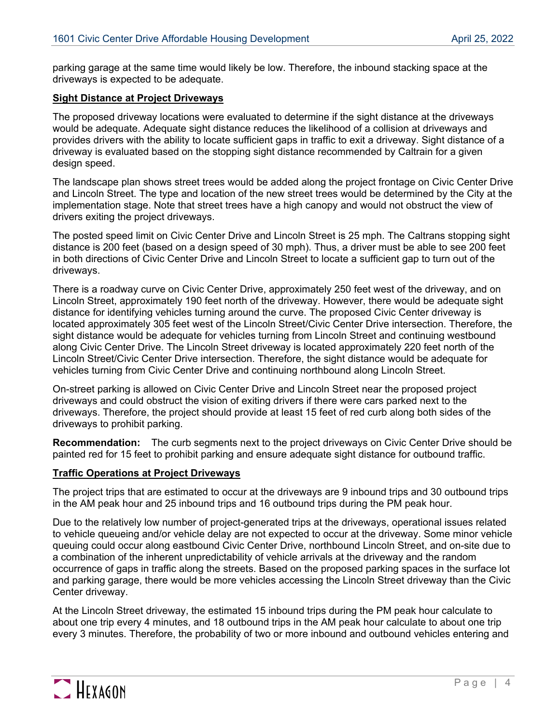parking garage at the same time would likely be low. Therefore, the inbound stacking space at the driveways is expected to be adequate.

#### **Sight Distance at Project Driveways**

The proposed driveway locations were evaluated to determine if the sight distance at the driveways would be adequate. Adequate sight distance reduces the likelihood of a collision at driveways and provides drivers with the ability to locate sufficient gaps in traffic to exit a driveway. Sight distance of a driveway is evaluated based on the stopping sight distance recommended by Caltrain for a given design speed.

The landscape plan shows street trees would be added along the project frontage on Civic Center Drive and Lincoln Street. The type and location of the new street trees would be determined by the City at the implementation stage. Note that street trees have a high canopy and would not obstruct the view of drivers exiting the project driveways.

The posted speed limit on Civic Center Drive and Lincoln Street is 25 mph. The Caltrans stopping sight distance is 200 feet (based on a design speed of 30 mph). Thus, a driver must be able to see 200 feet in both directions of Civic Center Drive and Lincoln Street to locate a sufficient gap to turn out of the driveways.

There is a roadway curve on Civic Center Drive, approximately 250 feet west of the driveway, and on Lincoln Street, approximately 190 feet north of the driveway. However, there would be adequate sight distance for identifying vehicles turning around the curve. The proposed Civic Center driveway is located approximately 305 feet west of the Lincoln Street/Civic Center Drive intersection. Therefore, the sight distance would be adequate for vehicles turning from Lincoln Street and continuing westbound along Civic Center Drive. The Lincoln Street driveway is located approximately 220 feet north of the Lincoln Street/Civic Center Drive intersection. Therefore, the sight distance would be adequate for vehicles turning from Civic Center Drive and continuing northbound along Lincoln Street.

On-street parking is allowed on Civic Center Drive and Lincoln Street near the proposed project driveways and could obstruct the vision of exiting drivers if there were cars parked next to the driveways. Therefore, the project should provide at least 15 feet of red curb along both sides of the driveways to prohibit parking.

**Recommendation:** The curb segments next to the project driveways on Civic Center Drive should be painted red for 15 feet to prohibit parking and ensure adequate sight distance for outbound traffic.

#### **Traffic Operations at Project Driveways**

The project trips that are estimated to occur at the driveways are 9 inbound trips and 30 outbound trips in the AM peak hour and 25 inbound trips and 16 outbound trips during the PM peak hour.

Due to the relatively low number of project-generated trips at the driveways, operational issues related to vehicle queueing and/or vehicle delay are not expected to occur at the driveway. Some minor vehicle queuing could occur along eastbound Civic Center Drive, northbound Lincoln Street, and on-site due to a combination of the inherent unpredictability of vehicle arrivals at the driveway and the random occurrence of gaps in traffic along the streets. Based on the proposed parking spaces in the surface lot and parking garage, there would be more vehicles accessing the Lincoln Street driveway than the Civic Center driveway.

At the Lincoln Street driveway, the estimated 15 inbound trips during the PM peak hour calculate to about one trip every 4 minutes, and 18 outbound trips in the AM peak hour calculate to about one trip every 3 minutes. Therefore, the probability of two or more inbound and outbound vehicles entering and

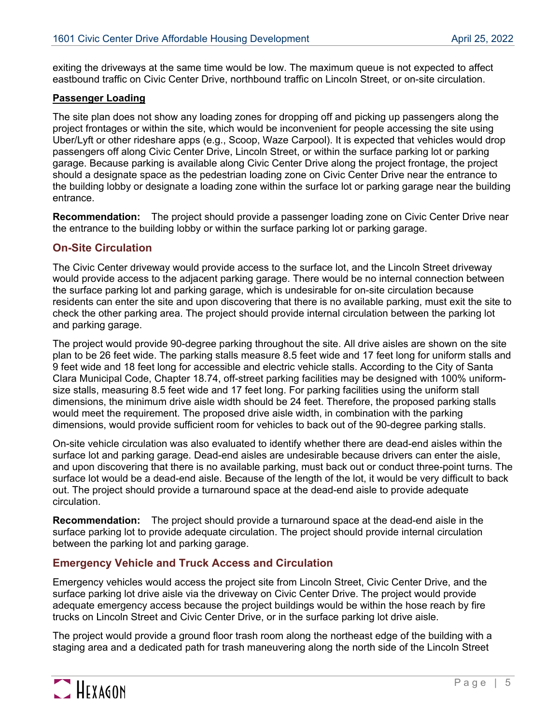exiting the driveways at the same time would be low. The maximum queue is not expected to affect eastbound traffic on Civic Center Drive, northbound traffic on Lincoln Street, or on-site circulation.

#### **Passenger Loading**

The site plan does not show any loading zones for dropping off and picking up passengers along the project frontages or within the site, which would be inconvenient for people accessing the site using Uber/Lyft or other rideshare apps (e.g., Scoop, Waze Carpool). It is expected that vehicles would drop passengers off along Civic Center Drive, Lincoln Street, or within the surface parking lot or parking garage. Because parking is available along Civic Center Drive along the project frontage, the project should a designate space as the pedestrian loading zone on Civic Center Drive near the entrance to the building lobby or designate a loading zone within the surface lot or parking garage near the building entrance.

**Recommendation:** The project should provide a passenger loading zone on Civic Center Drive near the entrance to the building lobby or within the surface parking lot or parking garage.

#### **On-Site Circulation**

The Civic Center driveway would provide access to the surface lot, and the Lincoln Street driveway would provide access to the adjacent parking garage. There would be no internal connection between the surface parking lot and parking garage, which is undesirable for on-site circulation because residents can enter the site and upon discovering that there is no available parking, must exit the site to check the other parking area. The project should provide internal circulation between the parking lot and parking garage.

The project would provide 90-degree parking throughout the site. All drive aisles are shown on the site plan to be 26 feet wide. The parking stalls measure 8.5 feet wide and 17 feet long for uniform stalls and 9 feet wide and 18 feet long for accessible and electric vehicle stalls. According to the City of Santa Clara Municipal Code, Chapter 18.74, off-street parking facilities may be designed with 100% uniformsize stalls, measuring 8.5 feet wide and 17 feet long. For parking facilities using the uniform stall dimensions, the minimum drive aisle width should be 24 feet. Therefore, the proposed parking stalls would meet the requirement. The proposed drive aisle width, in combination with the parking dimensions, would provide sufficient room for vehicles to back out of the 90-degree parking stalls.

On-site vehicle circulation was also evaluated to identify whether there are dead-end aisles within the surface lot and parking garage. Dead-end aisles are undesirable because drivers can enter the aisle, and upon discovering that there is no available parking, must back out or conduct three-point turns. The surface lot would be a dead-end aisle. Because of the length of the lot, it would be very difficult to back out. The project should provide a turnaround space at the dead-end aisle to provide adequate circulation.

**Recommendation:** The project should provide a turnaround space at the dead-end aisle in the surface parking lot to provide adequate circulation. The project should provide internal circulation between the parking lot and parking garage.

#### **Emergency Vehicle and Truck Access and Circulation**

Emergency vehicles would access the project site from Lincoln Street, Civic Center Drive, and the surface parking lot drive aisle via the driveway on Civic Center Drive. The project would provide adequate emergency access because the project buildings would be within the hose reach by fire trucks on Lincoln Street and Civic Center Drive, or in the surface parking lot drive aisle.

The project would provide a ground floor trash room along the northeast edge of the building with a staging area and a dedicated path for trash maneuvering along the north side of the Lincoln Street

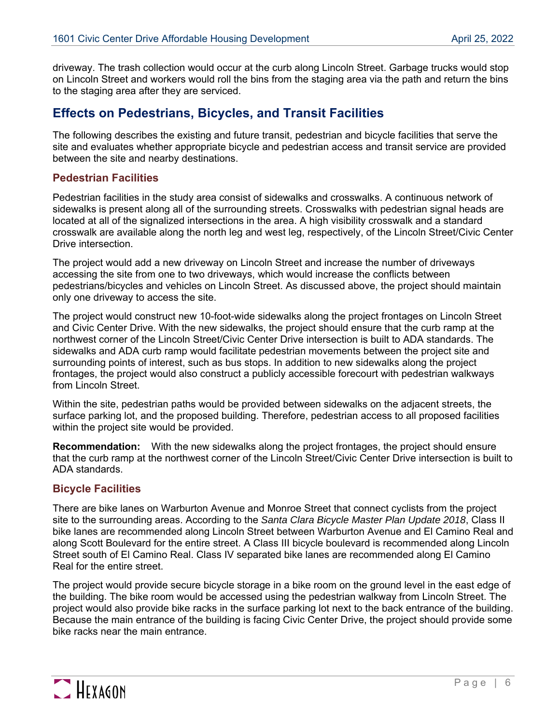driveway. The trash collection would occur at the curb along Lincoln Street. Garbage trucks would stop on Lincoln Street and workers would roll the bins from the staging area via the path and return the bins to the staging area after they are serviced.

# **Effects on Pedestrians, Bicycles, and Transit Facilities**

The following describes the existing and future transit, pedestrian and bicycle facilities that serve the site and evaluates whether appropriate bicycle and pedestrian access and transit service are provided between the site and nearby destinations.

#### **Pedestrian Facilities**

Pedestrian facilities in the study area consist of sidewalks and crosswalks. A continuous network of sidewalks is present along all of the surrounding streets. Crosswalks with pedestrian signal heads are located at all of the signalized intersections in the area. A high visibility crosswalk and a standard crosswalk are available along the north leg and west leg, respectively, of the Lincoln Street/Civic Center Drive intersection.

The project would add a new driveway on Lincoln Street and increase the number of driveways accessing the site from one to two driveways, which would increase the conflicts between pedestrians/bicycles and vehicles on Lincoln Street. As discussed above, the project should maintain only one driveway to access the site.

The project would construct new 10-foot-wide sidewalks along the project frontages on Lincoln Street and Civic Center Drive. With the new sidewalks, the project should ensure that the curb ramp at the northwest corner of the Lincoln Street/Civic Center Drive intersection is built to ADA standards. The sidewalks and ADA curb ramp would facilitate pedestrian movements between the project site and surrounding points of interest, such as bus stops. In addition to new sidewalks along the project frontages, the project would also construct a publicly accessible forecourt with pedestrian walkways from Lincoln Street.

Within the site, pedestrian paths would be provided between sidewalks on the adjacent streets, the surface parking lot, and the proposed building. Therefore, pedestrian access to all proposed facilities within the project site would be provided.

**Recommendation:** With the new sidewalks along the project frontages, the project should ensure that the curb ramp at the northwest corner of the Lincoln Street/Civic Center Drive intersection is built to ADA standards.

#### **Bicycle Facilities**

There are bike lanes on Warburton Avenue and Monroe Street that connect cyclists from the project site to the surrounding areas. According to the *Santa Clara Bicycle Master Plan Update 2018*, Class II bike lanes are recommended along Lincoln Street between Warburton Avenue and El Camino Real and along Scott Boulevard for the entire street. A Class III bicycle boulevard is recommended along Lincoln Street south of El Camino Real. Class IV separated bike lanes are recommended along El Camino Real for the entire street.

The project would provide secure bicycle storage in a bike room on the ground level in the east edge of the building. The bike room would be accessed using the pedestrian walkway from Lincoln Street. The project would also provide bike racks in the surface parking lot next to the back entrance of the building. Because the main entrance of the building is facing Civic Center Drive, the project should provide some bike racks near the main entrance.